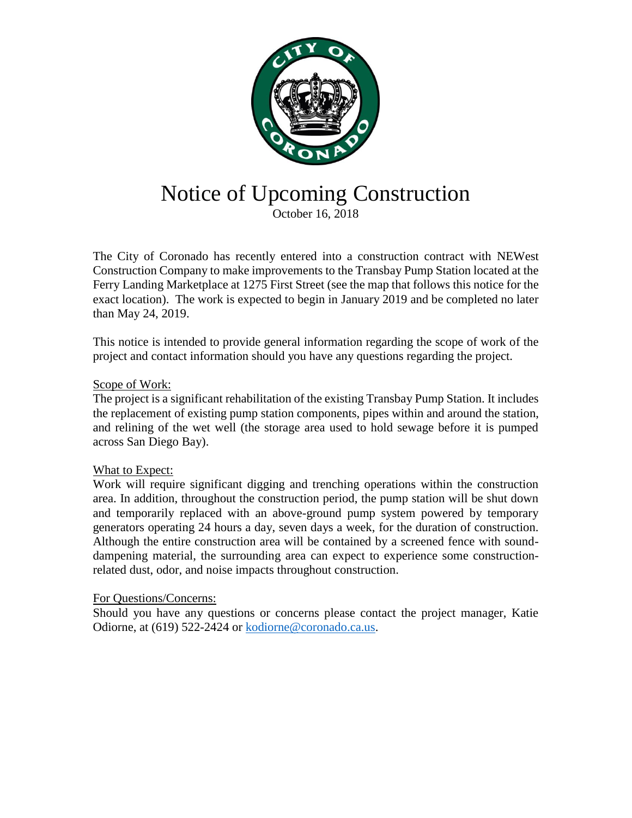

# Notice of Upcoming Construction

October 16, 2018

The City of Coronado has recently entered into a construction contract with NEWest Construction Company to make improvements to the Transbay Pump Station located at the Ferry Landing Marketplace at 1275 First Street (see the map that follows this notice for the exact location). The work is expected to begin in January 2019 and be completed no later than May 24, 2019.

This notice is intended to provide general information regarding the scope of work of the project and contact information should you have any questions regarding the project.

### Scope of Work:

The project is a significant rehabilitation of the existing Transbay Pump Station. It includes the replacement of existing pump station components, pipes within and around the station, and relining of the wet well (the storage area used to hold sewage before it is pumped across San Diego Bay).

### What to Expect:

Work will require significant digging and trenching operations within the construction area. In addition, throughout the construction period, the pump station will be shut down and temporarily replaced with an above-ground pump system powered by temporary generators operating 24 hours a day, seven days a week, for the duration of construction. Although the entire construction area will be contained by a screened fence with sounddampening material, the surrounding area can expect to experience some constructionrelated dust, odor, and noise impacts throughout construction.

#### For Questions/Concerns:

Should you have any questions or concerns please contact the project manager, Katie Odiorne, at (619) 522-2424 or [kodiorne@coronado.ca.us.](mailto:kodiorne@coronado.ca.us)